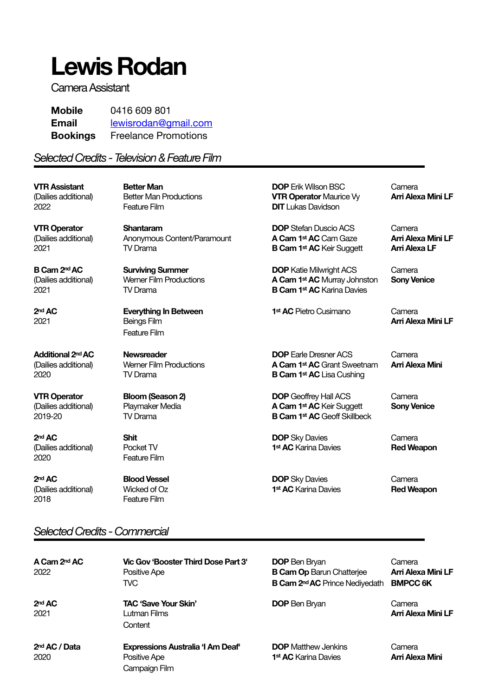# **Lewis Rodan**

Camera Assistant

| <b>Mobile</b>   | 0416 609 801                |
|-----------------|-----------------------------|
| <b>Email</b>    | lewisrodan@gmail.com        |
| <b>Bookings</b> | <b>Freelance Promotions</b> |

### *Selected Credits - Television & Feature Film*

**VTR Assistant Better Man DOP** Erik Wilson BSC Camera (Dailies additional) Better Man Productions **VTR Operator** Maurice Vy **Arri Alexa Mini LF** 2022 Feature Film **DIT** Lukas Davidson

2020 **Feature Film** 

**2<sup>nd</sup> AC Blood Vessel Blood Vessel Blood Vessel Blood Vessel Blood Vessel Blood Vessel Blood Vessel Blood Vessel Blood Vessel Blood Vessel Blood Vessel Blood Vessel Blood Vessel Blood Vessel Blood Vessel Blood Vessel Bl** (Dailies additional) Wicked of Oz **1st AC** Karina Davies **Red Weapon** 2018 **Feature Film** 

**VTR Operator Shantaram Shantaram DOP** Stefan Duscio ACS Camera<br>
(Dailies additional) Anonymous Content/Paramount **A Cam 1<sup>st</sup> AC** Cam Gaze **Arri Alexa Mini LF** (Dailies additional) **Anonymous Content/Paramount A Cam 1st AC** Cam Gaze 2021 **TV Drama TV Drama B Cam 1st AC** Keir Suggett **Arri Alexa LF** 

**2nd AC Everything In Between** 1st AC Pietro Cusimano Camera 2021 **Beings Film Beings Film Beings Film Beings Film Arri Alexa Mini LF**  Feature Film

**B Cam 2<sup>nd</sup> AC Surviving Summer Camera Camera Camera Camera Camera Camera** (Dailies additional) Werner Film Productions **A Cam 1st AC** Murray Johnston **Sony Venice** 2021 **TV Drama Consultance Consultance B Cam 1st AC** Karina Davies

**Additional 2<sup>nd</sup> AC Newsreader <b>Newsreader DOP** Earle Dresner ACS Camera (Dailies additional) Werner Film Productions **A Cam 1st AC** Grant Sweetnam **Arri Alexa Mini** 2020 TV Drama **B Cam 1st AC** Lisa Cushing

**VTR Operator Bloom (Season 2) DOP** Geoffrey Hall ACS Camera (Dailies additional) Playmaker Media **A Cam 1st AC** Keir Suggett **Sony Venice** 2019-20 TV Drama **B Cam 1st AC** Geoff Skillbeck

**2<sup>nd</sup> AC Shit Shit Shit DOP** Sky Davies **Camera** (Dailies additional) Pocket TV **1st AC** Karina Davies **Red Weapon**

# *Selected Credits - Commercial*

| A Cam 2 <sup>nd</sup> AC<br>2022  | Vic Gov 'Booster Third Dose Part 3'<br>Positive Ape<br>TVC.               | <b>DOP</b> Ben Bryan<br><b>B Cam Op Barun Chatteriee</b><br><b>B Cam 2<sup>nd</sup> AC</b> Prince Nediyedath | Camera<br><b>Arri Alexa Mini LF</b><br><b>BMPCC 6K</b> |
|-----------------------------------|---------------------------------------------------------------------------|--------------------------------------------------------------------------------------------------------------|--------------------------------------------------------|
| 2 <sup>nd</sup> AC<br>2021        | <b>TAC 'Save Your Skin'</b><br>Lutman Films<br>Content                    | <b>DOP</b> Ben Bryan                                                                                         | Camera<br><b>Arri Alexa Mini LF</b>                    |
| 2 <sup>nd</sup> AC / Data<br>2020 | <b>Expressions Australia 'I Am Deaf'</b><br>Positive Ape<br>Campaign Film | <b>DOP</b> Matthew Jenkins<br>1 <sup>st</sup> <b>AC</b> Karina Davies                                        | Camera<br>Arri Alexa Mini                              |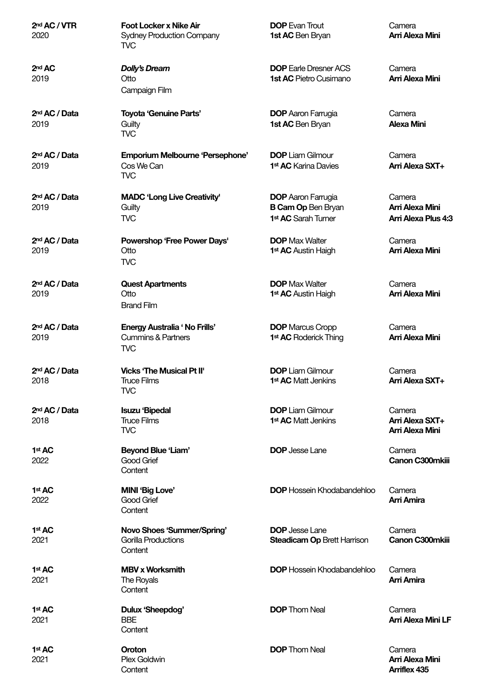| 2 <sup>nd</sup> AC / VTR<br>2020  | <b>Foot Locker x Nike Air</b><br><b>Sydney Production Company</b><br>TVC           | <b>DOP</b> Evan Trout<br>1st AC Ben Bryan                                                 | Camera<br>Arri Alexa Mini                        |
|-----------------------------------|------------------------------------------------------------------------------------|-------------------------------------------------------------------------------------------|--------------------------------------------------|
| 2 <sup>nd</sup> AC<br>2019        | <b>Dolly's Dream</b><br>Otto<br>Campaign Film                                      | <b>DOP</b> Earle Dresner ACS<br><b>1st AC Pietro Cusimano</b>                             | Camera<br>Arri Alexa Mini                        |
| 2 <sup>nd</sup> AC / Data<br>2019 | <b>Toyota 'Genuine Parts'</b><br>Guilty<br><b>TVC</b>                              | <b>DOP</b> Aaron Farrugia<br>1st AC Ben Bryan                                             | Camera<br><b>Alexa Mini</b>                      |
| 2 <sup>nd</sup> AC / Data<br>2019 | <b>Emporium Melbourne 'Persephone'</b><br>Cos We Can<br><b>TVC</b>                 | <b>DOP</b> Liam Gilmour<br>1 <sup>st</sup> AC Karina Davies                               | Camera<br>Arri Alexa SXT+                        |
| 2 <sup>nd</sup> AC / Data<br>2019 | <b>MADC 'Long Live Creativity'</b><br>Guilty<br><b>TVC</b>                         | <b>DOP</b> Aaron Farrugia<br><b>B Cam Op Ben Bryan</b><br>1 <sup>st</sup> AC Sarah Turner | Camera<br>Arri Alexa Mini<br>Arri Alexa Plus 4:3 |
| 2 <sup>nd</sup> AC / Data<br>2019 | Powershop 'Free Power Days'<br>Otto<br><b>TVC</b>                                  | <b>DOP</b> Max Walter<br>1 <sup>st</sup> AC Austin Haigh                                  | Camera<br>Arri Alexa Mini                        |
| 2 <sup>nd</sup> AC / Data<br>2019 | <b>Quest Apartments</b><br>Otto<br><b>Brand Film</b>                               | <b>DOP</b> Max Walter<br>1 <sup>st</sup> AC Austin Haigh                                  | Camera<br>Arri Alexa Mini                        |
| 2 <sup>nd</sup> AC / Data<br>2019 | <b>Energy Australia 'No Frills'</b><br><b>Cummins &amp; Partners</b><br><b>TVC</b> | <b>DOP</b> Marcus Cropp<br>1 <sup>st</sup> AC Roderick Thing                              | Camera<br>Arri Alexa Mini                        |
| 2 <sup>nd</sup> AC / Data<br>2018 | <b>Vicks 'The Musical Pt II'</b><br><b>Truce Films</b><br><b>TVC</b>               | <b>DOP</b> Liam Gilmour<br>1 <sup>st</sup> AC Matt Jenkins                                | Camera<br>Arri Alexa SXT+                        |
| 2 <sup>nd</sup> AC / Data<br>2018 | <b>Isuzu 'Bipedal</b><br><b>Truce Films</b><br><b>TVC</b>                          | <b>DOP</b> Liam Gilmour<br>1 <sup>st</sup> AC Matt Jenkins                                | Camera<br>Arri Alexa SXT+<br>Arri Alexa Mini     |
| 1 <sup>st</sup> AC<br>2022        | <b>Beyond Blue 'Liam'</b><br>Good Grief<br>Content                                 | <b>DOP</b> Jesse Lane                                                                     | Camera<br>Canon C300mkiii                        |
| 1st AC<br>2022                    | <b>MINI 'Big Love'</b><br>Good Grief<br>Content                                    | <b>DOP</b> Hossein Khodabandehloo                                                         | Camera<br><b>Arri Amira</b>                      |
| 1 <sup>st</sup> AC<br>2021        | Novo Shoes 'Summer/Spring'<br><b>Gorilla Productions</b><br>Content                | <b>DOP</b> Jesse Lane<br><b>Steadicam Op Brett Harrison</b>                               | Camera<br>Canon C300mkiii                        |
| 1st AC<br>2021                    | <b>MBV x Worksmith</b><br>The Royals<br>Content                                    | <b>DOP</b> Hossein Khodabandehloo                                                         | Camera<br>Arri Amira                             |
| 1 <sup>st</sup> AC<br>2021        | Dulux 'Sheepdog'<br><b>BBE</b><br>Content                                          | <b>DOP</b> Thom Neal                                                                      | Camera<br><b>Arri Alexa Mini LF</b>              |
| 1st AC<br>2021                    | Oroton<br>Plex Goldwin<br>Content                                                  | <b>DOP</b> Thom Neal                                                                      | Camera<br>Arri Alexa Mini<br><b>Arriflex 435</b> |